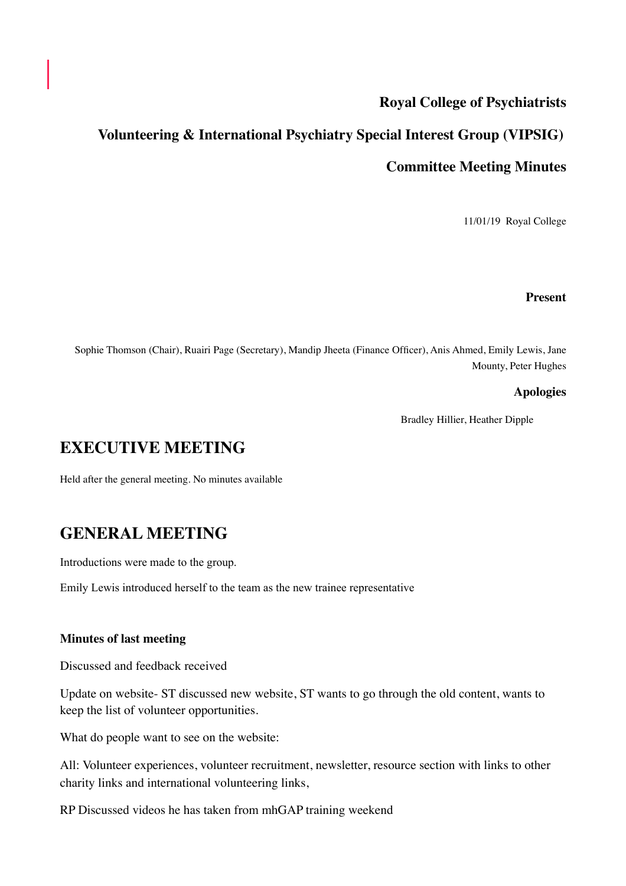## **Royal College of Psychiatrists**

# **Volunteering & International Psychiatry Special Interest Group (VIPSIG)**

### **Committee Meeting Minutes**

11/01/19 Royal College

#### **Present**

Sophie Thomson (Chair), Ruairi Page (Secretary), Mandip Jheeta (Finance Officer), Anis Ahmed, Emily Lewis, Jane Mounty, Peter Hughes

### **Apologies**

Bradley Hillier, Heather Dipple

# **EXECUTIVE MEETING**

Held after the general meeting. No minutes available

# **GENERAL MEETING**

Introductions were made to the group.

Emily Lewis introduced herself to the team as the new trainee representative

### **Minutes of last meeting**

Discussed and feedback received

Update on website- ST discussed new website, ST wants to go through the old content, wants to keep the list of volunteer opportunities.

What do people want to see on the website:

All: Volunteer experiences, volunteer recruitment, newsletter, resource section with links to other charity links and international volunteering links,

RP Discussed videos he has taken from mhGAP training weekend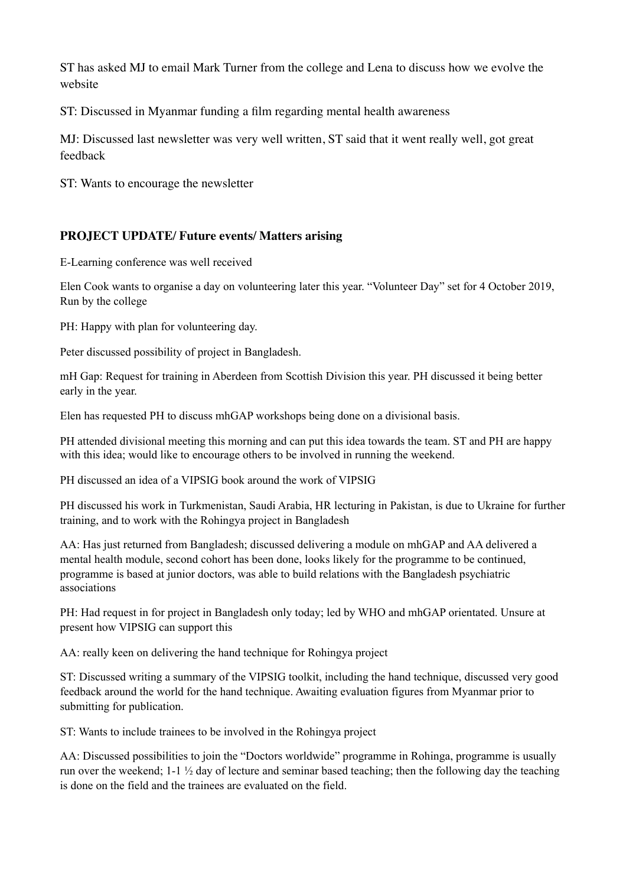ST has asked MJ to email Mark Turner from the college and Lena to discuss how we evolve the website

ST: Discussed in Myanmar funding a film regarding mental health awareness

MJ: Discussed last newsletter was very well written, ST said that it went really well, got great feedback

ST: Wants to encourage the newsletter

### **PROJECT UPDATE/ Future events/ Matters arising**

E-Learning conference was well received

Elen Cook wants to organise a day on volunteering later this year. "Volunteer Day" set for 4 October 2019, Run by the college

PH: Happy with plan for volunteering day.

Peter discussed possibility of project in Bangladesh.

mH Gap: Request for training in Aberdeen from Scottish Division this year. PH discussed it being better early in the year.

Elen has requested PH to discuss mhGAP workshops being done on a divisional basis.

PH attended divisional meeting this morning and can put this idea towards the team. ST and PH are happy with this idea; would like to encourage others to be involved in running the weekend.

PH discussed an idea of a VIPSIG book around the work of VIPSIG

PH discussed his work in Turkmenistan, Saudi Arabia, HR lecturing in Pakistan, is due to Ukraine for further training, and to work with the Rohingya project in Bangladesh

AA: Has just returned from Bangladesh; discussed delivering a module on mhGAP and AA delivered a mental health module, second cohort has been done, looks likely for the programme to be continued, programme is based at junior doctors, was able to build relations with the Bangladesh psychiatric associations

PH: Had request in for project in Bangladesh only today; led by WHO and mhGAP orientated. Unsure at present how VIPSIG can support this

AA: really keen on delivering the hand technique for Rohingya project

ST: Discussed writing a summary of the VIPSIG toolkit, including the hand technique, discussed very good feedback around the world for the hand technique. Awaiting evaluation figures from Myanmar prior to submitting for publication.

ST: Wants to include trainees to be involved in the Rohingya project

AA: Discussed possibilities to join the "Doctors worldwide" programme in Rohinga, programme is usually run over the weekend;  $1-1 \frac{1}{2}$  day of lecture and seminar based teaching; then the following day the teaching is done on the field and the trainees are evaluated on the field.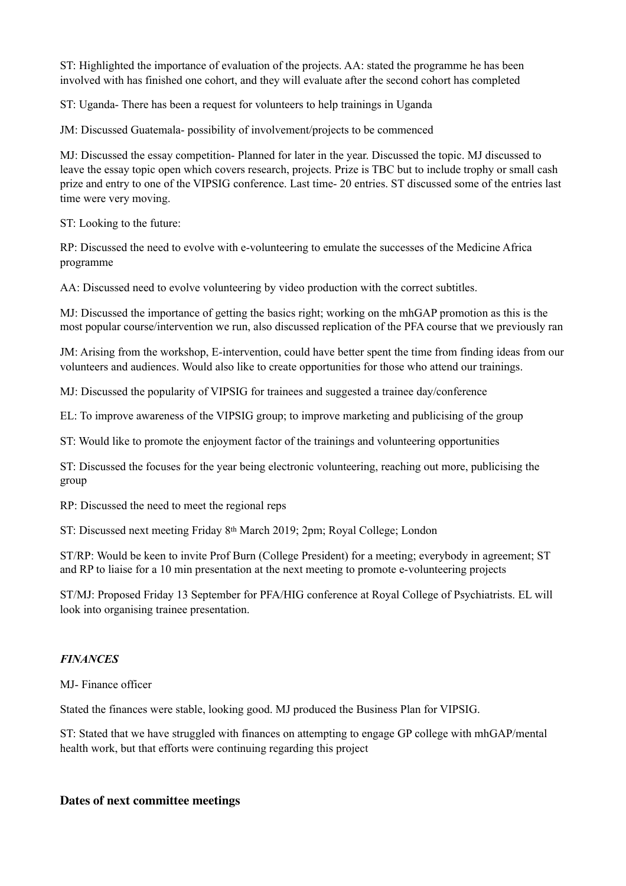ST: Highlighted the importance of evaluation of the projects. AA: stated the programme he has been involved with has finished one cohort, and they will evaluate after the second cohort has completed

ST: Uganda- There has been a request for volunteers to help trainings in Uganda

JM: Discussed Guatemala- possibility of involvement/projects to be commenced

MJ: Discussed the essay competition- Planned for later in the year. Discussed the topic. MJ discussed to leave the essay topic open which covers research, projects. Prize is TBC but to include trophy or small cash prize and entry to one of the VIPSIG conference. Last time- 20 entries. ST discussed some of the entries last time were very moving.

ST: Looking to the future:

RP: Discussed the need to evolve with e-volunteering to emulate the successes of the Medicine Africa programme

AA: Discussed need to evolve volunteering by video production with the correct subtitles.

MJ: Discussed the importance of getting the basics right; working on the mhGAP promotion as this is the most popular course/intervention we run, also discussed replication of the PFA course that we previously ran

JM: Arising from the workshop, E-intervention, could have better spent the time from finding ideas from our volunteers and audiences. Would also like to create opportunities for those who attend our trainings.

MJ: Discussed the popularity of VIPSIG for trainees and suggested a trainee day/conference

EL: To improve awareness of the VIPSIG group; to improve marketing and publicising of the group

ST: Would like to promote the enjoyment factor of the trainings and volunteering opportunities

ST: Discussed the focuses for the year being electronic volunteering, reaching out more, publicising the group

RP: Discussed the need to meet the regional reps

ST: Discussed next meeting Friday 8th March 2019; 2pm; Royal College; London

ST/RP: Would be keen to invite Prof Burn (College President) for a meeting; everybody in agreement; ST and RP to liaise for a 10 min presentation at the next meeting to promote e-volunteering projects

ST/MJ: Proposed Friday 13 September for PFA/HIG conference at Royal College of Psychiatrists. EL will look into organising trainee presentation.

### *FINANCES*

MJ- Finance officer

Stated the finances were stable, looking good. MJ produced the Business Plan for VIPSIG.

ST: Stated that we have struggled with finances on attempting to engage GP college with mhGAP/mental health work, but that efforts were continuing regarding this project

#### **Dates of next committee meetings**